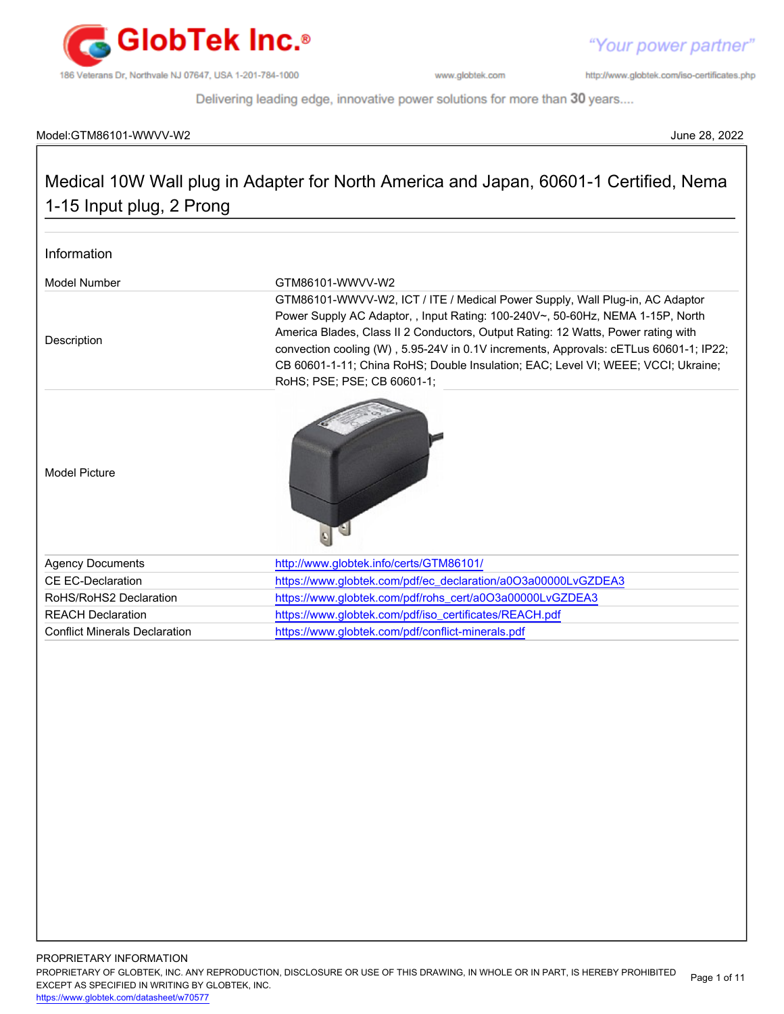

http://www.globtek.com/iso-certificates.php

Delivering leading edge, innovative power solutions for more than 30 years....

# Model:GTM86101-WWVV-W2 June 28, 2022

# Medical 10W Wall plug in Adapter for North America and Japan, 60601-1 Certified, Nema 1-15 Input plug, 2 Prong

| Information                          |                                                                                                                                                                                                                                                                                                                                                                                                                                                                  |  |
|--------------------------------------|------------------------------------------------------------------------------------------------------------------------------------------------------------------------------------------------------------------------------------------------------------------------------------------------------------------------------------------------------------------------------------------------------------------------------------------------------------------|--|
| Model Number                         | GTM86101-WWVV-W2                                                                                                                                                                                                                                                                                                                                                                                                                                                 |  |
| Description                          | GTM86101-WWVV-W2, ICT / ITE / Medical Power Supply, Wall Plug-in, AC Adaptor<br>Power Supply AC Adaptor, , Input Rating: 100-240V~, 50-60Hz, NEMA 1-15P, North<br>America Blades, Class II 2 Conductors, Output Rating: 12 Watts, Power rating with<br>convection cooling (W), 5.95-24V in 0.1V increments, Approvals: cETLus 60601-1; IP22;<br>CB 60601-1-11; China RoHS; Double Insulation; EAC; Level VI; WEEE; VCCI; Ukraine;<br>RoHS; PSE; PSE; CB 60601-1; |  |
| <b>Model Picture</b>                 |                                                                                                                                                                                                                                                                                                                                                                                                                                                                  |  |
| <b>Agency Documents</b>              | http://www.globtek.info/certs/GTM86101/                                                                                                                                                                                                                                                                                                                                                                                                                          |  |
| CF FC-Declaration                    | https://www.globtek.com/pdf/ec_declaration/a0O3a00000LvGZDEA3                                                                                                                                                                                                                                                                                                                                                                                                    |  |
| RoHS/RoHS2 Declaration               | https://www.globtek.com/pdf/rohs_cert/a0O3a00000LvGZDEA3                                                                                                                                                                                                                                                                                                                                                                                                         |  |
| <b>REACH Declaration</b>             | https://www.globtek.com/pdf/iso_certificates/REACH.pdf                                                                                                                                                                                                                                                                                                                                                                                                           |  |
| <b>Conflict Minerals Declaration</b> | https://www.globtek.com/pdf/conflict-minerals.pdf                                                                                                                                                                                                                                                                                                                                                                                                                |  |
|                                      |                                                                                                                                                                                                                                                                                                                                                                                                                                                                  |  |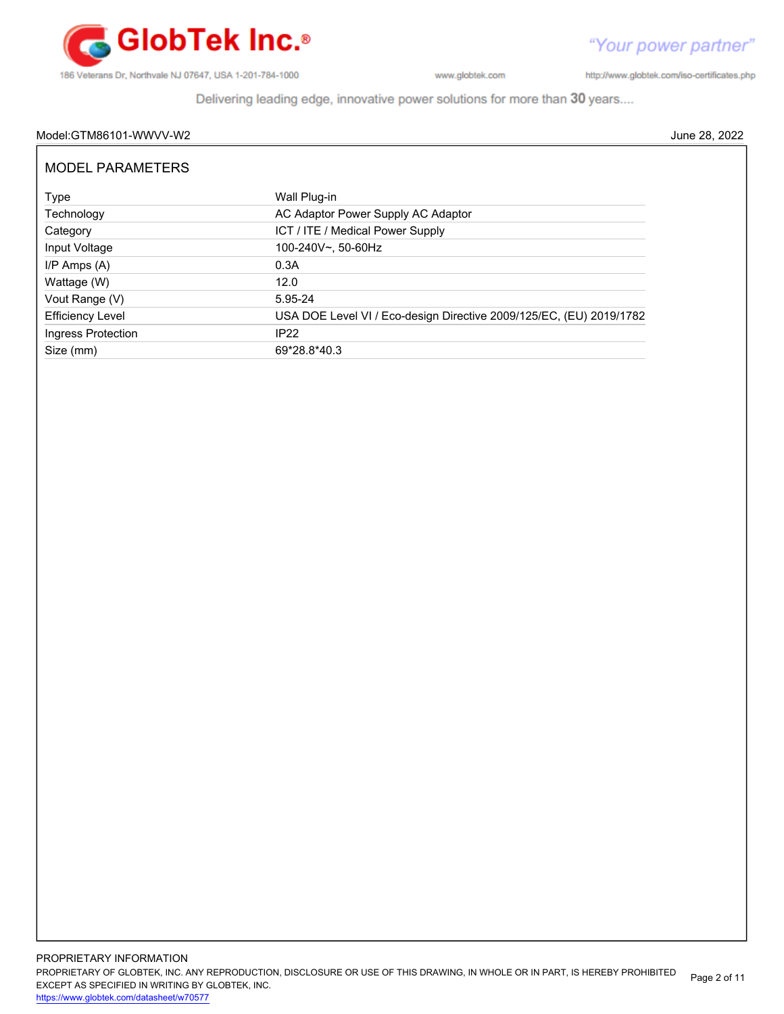

http://www.globtek.com/iso-certificates.php

Delivering leading edge, innovative power solutions for more than 30 years....

# Model:GTM86101-WWVV-W2 June 28, 2022

| <b>MODEL PARAMETERS</b> |                                                                     |
|-------------------------|---------------------------------------------------------------------|
| Type                    | Wall Plug-in                                                        |
| Technology              | AC Adaptor Power Supply AC Adaptor                                  |
| Category                | ICT / ITE / Medical Power Supply                                    |
| Input Voltage           | 100-240V~, 50-60Hz                                                  |
| I/P Amps (A)            | 0.3A                                                                |
| Wattage (W)             | 12.0                                                                |
| Vout Range (V)          | 5.95-24                                                             |
| <b>Efficiency Level</b> | USA DOE Level VI / Eco-design Directive 2009/125/EC, (EU) 2019/1782 |
| Ingress Protection      | IP <sub>22</sub>                                                    |
| Size (mm)               | 69*28.8*40.3                                                        |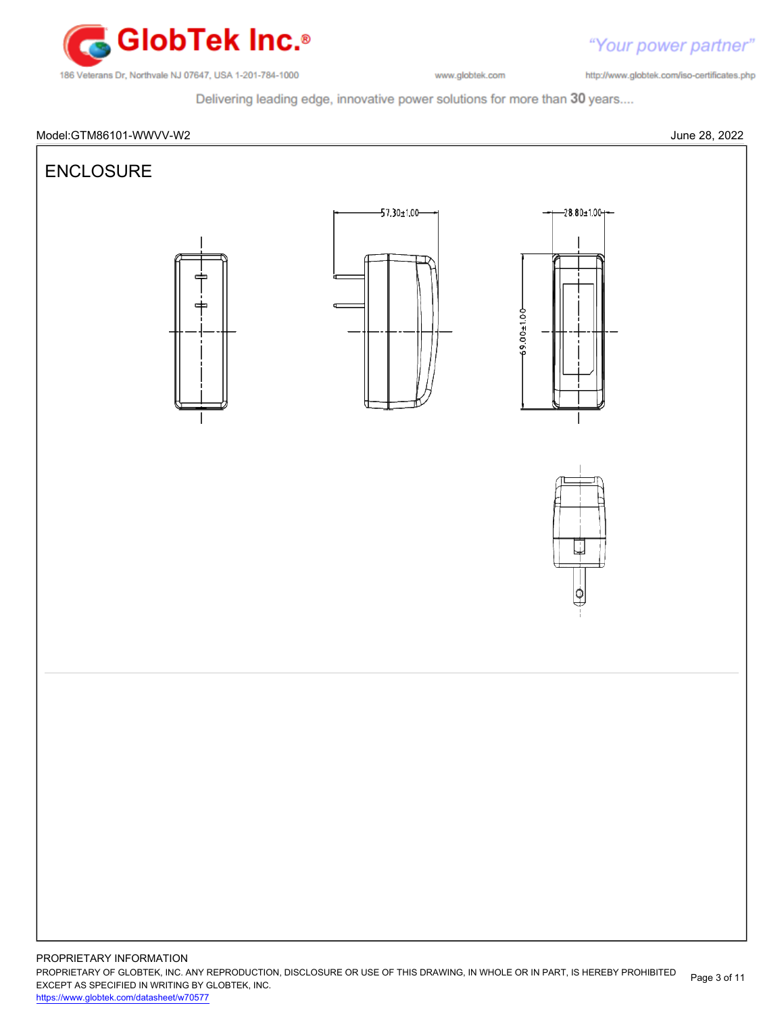

"Your power partner" http://www.globtek.com/iso-certificates.php

Delivering leading edge, innovative power solutions for more than 30 years....



PROPRIETARY OF GLOBTEK, INC. ANY REPRODUCTION, DISCLOSURE OR USE OF THIS DRAWING, IN WHOLE OR IN PART, IS HEREBY PROHIBITED EXCEPT AS SPECIFIED IN WRITING BY GLOBTEK, INC. Page 3 of 11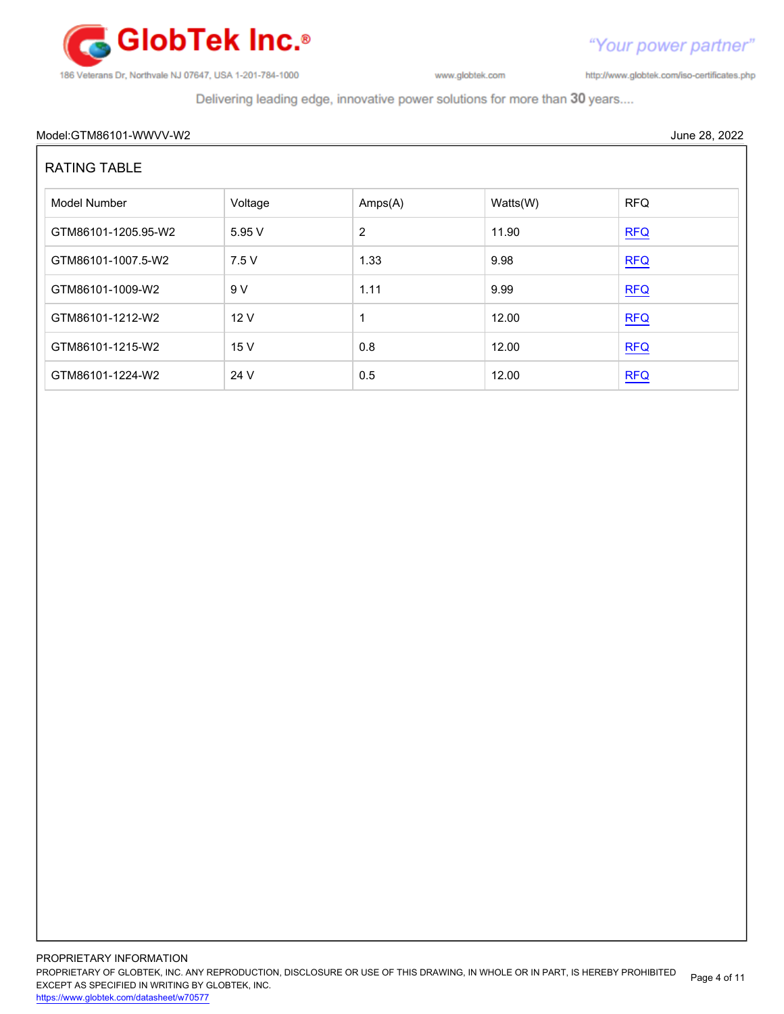

http://www.globtek.com/iso-certificates.php

Delivering leading edge, innovative power solutions for more than 30 years....

# Model:GTM86101-WWVV-W2 June 28, 2022

# RATING TABLE

| Model Number        | Voltage | Amps(A) | Watts(W) | <b>RFQ</b> |
|---------------------|---------|---------|----------|------------|
| GTM86101-1205.95-W2 | 5.95V   | 2       | 11.90    | <b>RFQ</b> |
| GTM86101-1007.5-W2  | 7.5V    | 1.33    | 9.98     | REQ        |
| GTM86101-1009-W2    | 9V      | 1.11    | 9.99     | REQ        |
| GTM86101-1212-W2    | 12V     | 1       | 12.00    | <b>RFQ</b> |
| GTM86101-1215-W2    | 15 V    | 0.8     | 12.00    | <b>RFQ</b> |
| GTM86101-1224-W2    | 24 V    | 0.5     | 12.00    | <b>RFQ</b> |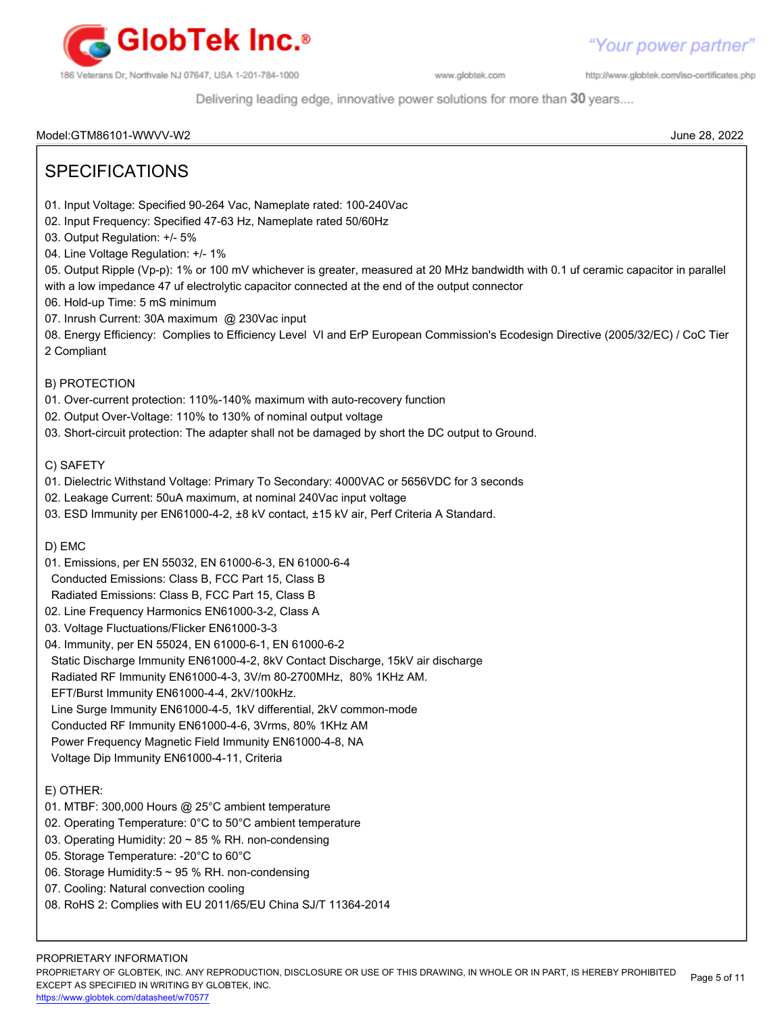

http://www.globtek.com/iso-certificates.php

Delivering leading edge, innovative power solutions for more than 30 years....

Model:GTM86101-WWVV-W2 June 28, 2022

| <b>SPECIFICATIONS</b>                                                                                                                                                                                                                                                                                                                                                                                                                                                                                                                         |  |
|-----------------------------------------------------------------------------------------------------------------------------------------------------------------------------------------------------------------------------------------------------------------------------------------------------------------------------------------------------------------------------------------------------------------------------------------------------------------------------------------------------------------------------------------------|--|
| 01. Input Voltage: Specified 90-264 Vac, Nameplate rated: 100-240Vac<br>02. Input Frequency: Specified 47-63 Hz, Nameplate rated 50/60Hz<br>03. Output Regulation: +/- 5%<br>04. Line Voltage Regulation: +/- 1%<br>05. Output Ripple (Vp-p): 1% or 100 mV whichever is greater, measured at 20 MHz bandwidth with 0.1 uf ceramic capacitor in parallel<br>with a low impedance 47 uf electrolytic capacitor connected at the end of the output connector<br>06. Hold-up Time: 5 mS minimum<br>07. Inrush Current: 30A maximum @ 230Vac input |  |
| 08. Energy Efficiency: Complies to Efficiency Level VI and ErP European Commission's Ecodesign Directive (2005/32/EC) / CoC Tier<br>2 Compliant                                                                                                                                                                                                                                                                                                                                                                                               |  |
| <b>B) PROTECTION</b>                                                                                                                                                                                                                                                                                                                                                                                                                                                                                                                          |  |
| 01. Over-current protection: 110%-140% maximum with auto-recovery function                                                                                                                                                                                                                                                                                                                                                                                                                                                                    |  |
| 02. Output Over-Voltage: 110% to 130% of nominal output voltage                                                                                                                                                                                                                                                                                                                                                                                                                                                                               |  |
| 03. Short-circuit protection: The adapter shall not be damaged by short the DC output to Ground.                                                                                                                                                                                                                                                                                                                                                                                                                                              |  |
| C) SAFETY                                                                                                                                                                                                                                                                                                                                                                                                                                                                                                                                     |  |
| 01. Dielectric Withstand Voltage: Primary To Secondary: 4000VAC or 5656VDC for 3 seconds                                                                                                                                                                                                                                                                                                                                                                                                                                                      |  |
| 02. Leakage Current: 50uA maximum, at nominal 240Vac input voltage                                                                                                                                                                                                                                                                                                                                                                                                                                                                            |  |
| 03. ESD Immunity per EN61000-4-2, ±8 kV contact, ±15 kV air, Perf Criteria A Standard.                                                                                                                                                                                                                                                                                                                                                                                                                                                        |  |
| D) EMC                                                                                                                                                                                                                                                                                                                                                                                                                                                                                                                                        |  |
| 01. Emissions, per EN 55032, EN 61000-6-3, EN 61000-6-4                                                                                                                                                                                                                                                                                                                                                                                                                                                                                       |  |
| Conducted Emissions: Class B, FCC Part 15, Class B                                                                                                                                                                                                                                                                                                                                                                                                                                                                                            |  |
| Radiated Emissions: Class B, FCC Part 15, Class B                                                                                                                                                                                                                                                                                                                                                                                                                                                                                             |  |
| 02. Line Frequency Harmonics EN61000-3-2, Class A                                                                                                                                                                                                                                                                                                                                                                                                                                                                                             |  |
| 03. Voltage Fluctuations/Flicker EN61000-3-3                                                                                                                                                                                                                                                                                                                                                                                                                                                                                                  |  |
| 04. Immunity, per EN 55024, EN 61000-6-1, EN 61000-6-2                                                                                                                                                                                                                                                                                                                                                                                                                                                                                        |  |
| Static Discharge Immunity EN61000-4-2, 8kV Contact Discharge, 15kV air discharge                                                                                                                                                                                                                                                                                                                                                                                                                                                              |  |
| Radiated RF Immunity EN61000-4-3, 3V/m 80-2700MHz, 80% 1KHz AM.                                                                                                                                                                                                                                                                                                                                                                                                                                                                               |  |
| EFT/Burst Immunity EN61000-4-4, 2kV/100kHz.                                                                                                                                                                                                                                                                                                                                                                                                                                                                                                   |  |
| Line Surge Immunity EN61000-4-5, 1kV differential, 2kV common-mode                                                                                                                                                                                                                                                                                                                                                                                                                                                                            |  |
| Conducted RF Immunity EN61000-4-6, 3Vrms, 80% 1KHz AM<br>Power Frequency Magnetic Field Immunity EN61000-4-8, NA                                                                                                                                                                                                                                                                                                                                                                                                                              |  |
| Voltage Dip Immunity EN61000-4-11, Criteria                                                                                                                                                                                                                                                                                                                                                                                                                                                                                                   |  |
|                                                                                                                                                                                                                                                                                                                                                                                                                                                                                                                                               |  |
| E) OTHER:                                                                                                                                                                                                                                                                                                                                                                                                                                                                                                                                     |  |
| 01. MTBF: 300,000 Hours @ 25°C ambient temperature                                                                                                                                                                                                                                                                                                                                                                                                                                                                                            |  |
| 02. Operating Temperature: 0°C to 50°C ambient temperature<br>03. Operating Humidity: 20 ~ 85 % RH. non-condensing                                                                                                                                                                                                                                                                                                                                                                                                                            |  |
| 05. Storage Temperature: - 20°C to 60°C                                                                                                                                                                                                                                                                                                                                                                                                                                                                                                       |  |
| 06. Storage Humidity:5 ~ 95 % RH. non-condensing                                                                                                                                                                                                                                                                                                                                                                                                                                                                                              |  |
| 07. Cooling: Natural convection cooling                                                                                                                                                                                                                                                                                                                                                                                                                                                                                                       |  |
| 08. RoHS 2: Complies with EU 2011/65/EU China SJ/T 11364-2014                                                                                                                                                                                                                                                                                                                                                                                                                                                                                 |  |
|                                                                                                                                                                                                                                                                                                                                                                                                                                                                                                                                               |  |
|                                                                                                                                                                                                                                                                                                                                                                                                                                                                                                                                               |  |
| PROPRIETARY INFORMATION                                                                                                                                                                                                                                                                                                                                                                                                                                                                                                                       |  |

PROPRIETARY OF GLOBTEK, INC. ANY REPRODUCTION, DISCLOSURE OR USE OF THIS DRAWING, IN WHOLE OR IN PART, IS HEREBY PROHIBITED EXCEPT AS SPECIFIED IN WRITING BY GLOBTEK, INC. Page 5 of 11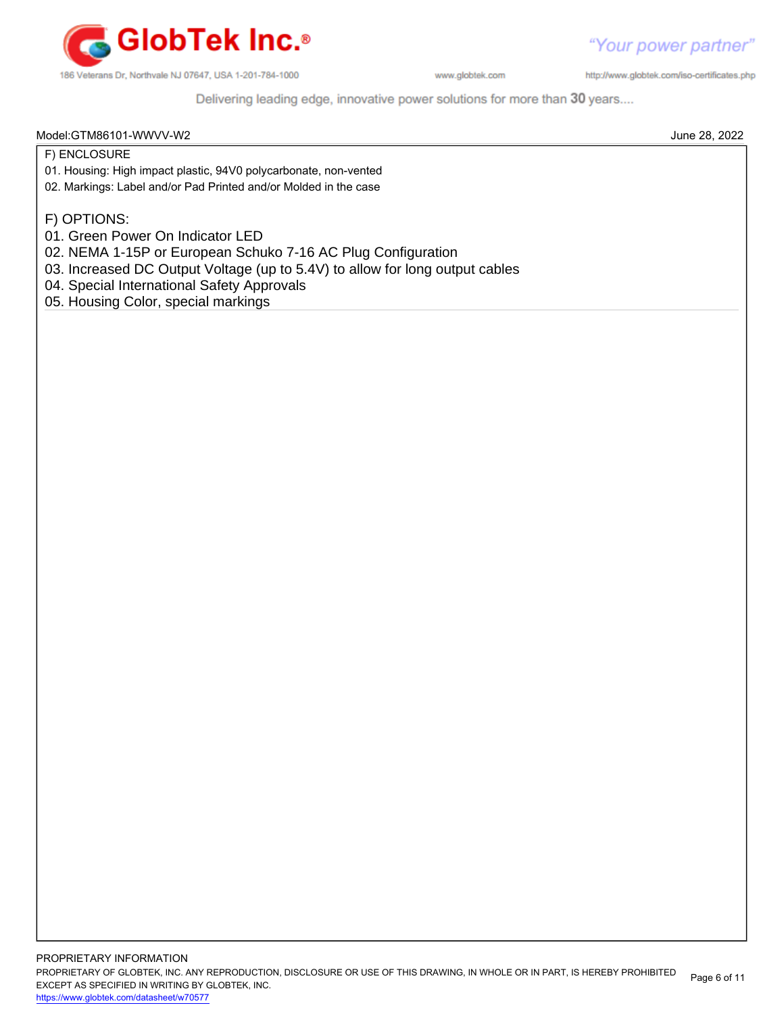

http://www.globtek.com/iso-certificates.php

Delivering leading edge, innovative power solutions for more than 30 years....

### Model:GTM86101-WWVV-W2 June 28, 2022

F) ENCLOSURE

- 01. Housing: High impact plastic, 94V0 polycarbonate, non-vented
- 02. Markings: Label and/or Pad Printed and/or Molded in the case

F) OPTIONS:

- 01. Green Power On Indicator LED
- 02. NEMA 1-15P or European Schuko 7-16 AC Plug Configuration
- 03. Increased DC Output Voltage (up to 5.4V) to allow for long output cables
- 04. Special International Safety Approvals
- 05. Housing Color, special markings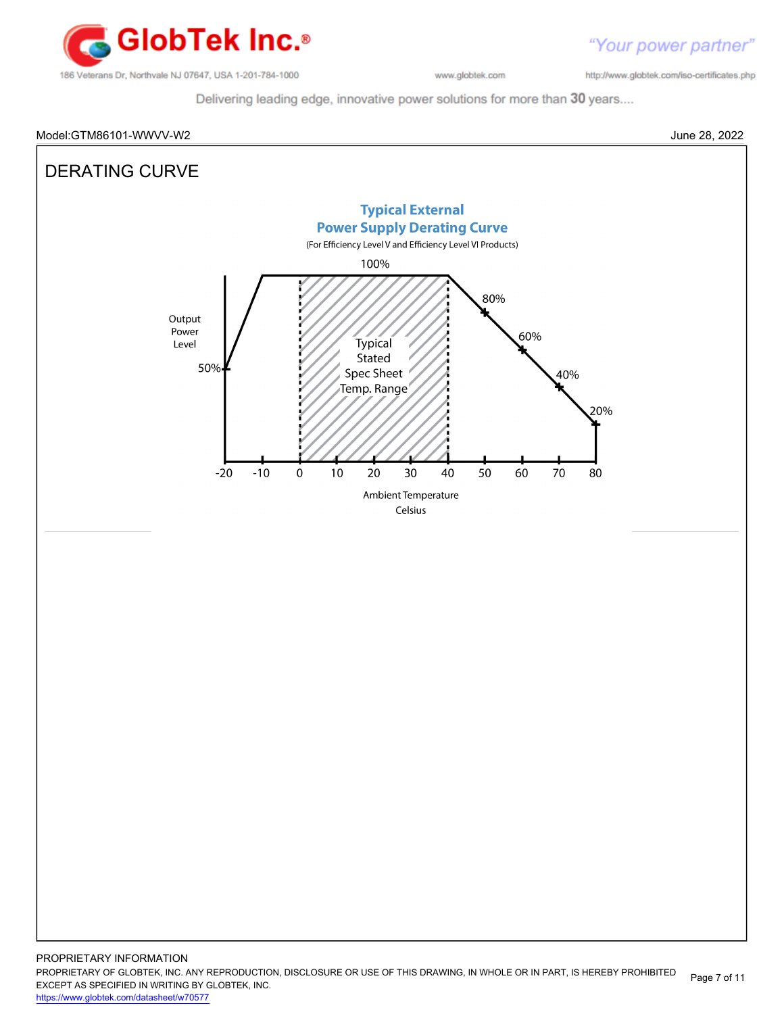

http://www.globtek.com/iso-certificates.php

Delivering leading edge, innovative power solutions for more than 30 years....

# Model:GTM86101-WWVV-W2 June 28, 2022

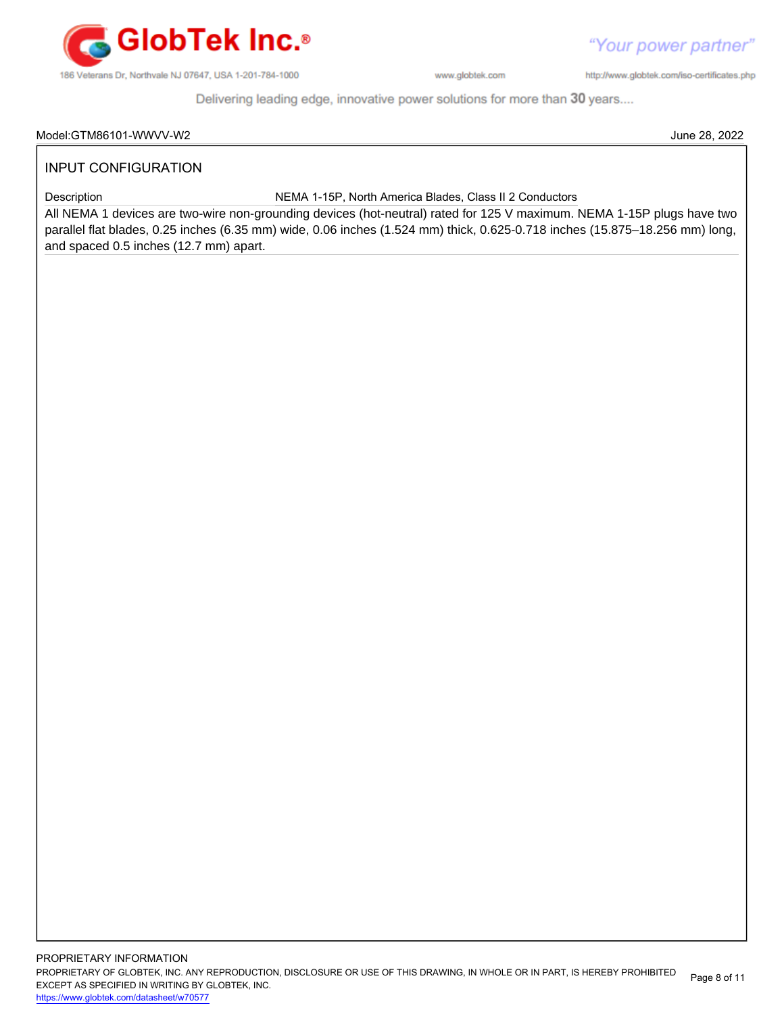

http://www.globtek.com/iso-certificates.php

"Your power partner"

Delivering leading edge, innovative power solutions for more than 30 years....

### Model:GTM86101-WWVV-W2 June 28, 2022

# INPUT CONFIGURATION

Description NEMA 1-15P, North America Blades, Class II 2 Conductors

All NEMA 1 devices are two-wire non-grounding devices (hot-neutral) rated for 125 V maximum. NEMA 1-15P plugs have two parallel flat blades, 0.25 inches (6.35 mm) wide, 0.06 inches (1.524 mm) thick, 0.625-0.718 inches (15.875–18.256 mm) long, and spaced 0.5 inches (12.7 mm) apart.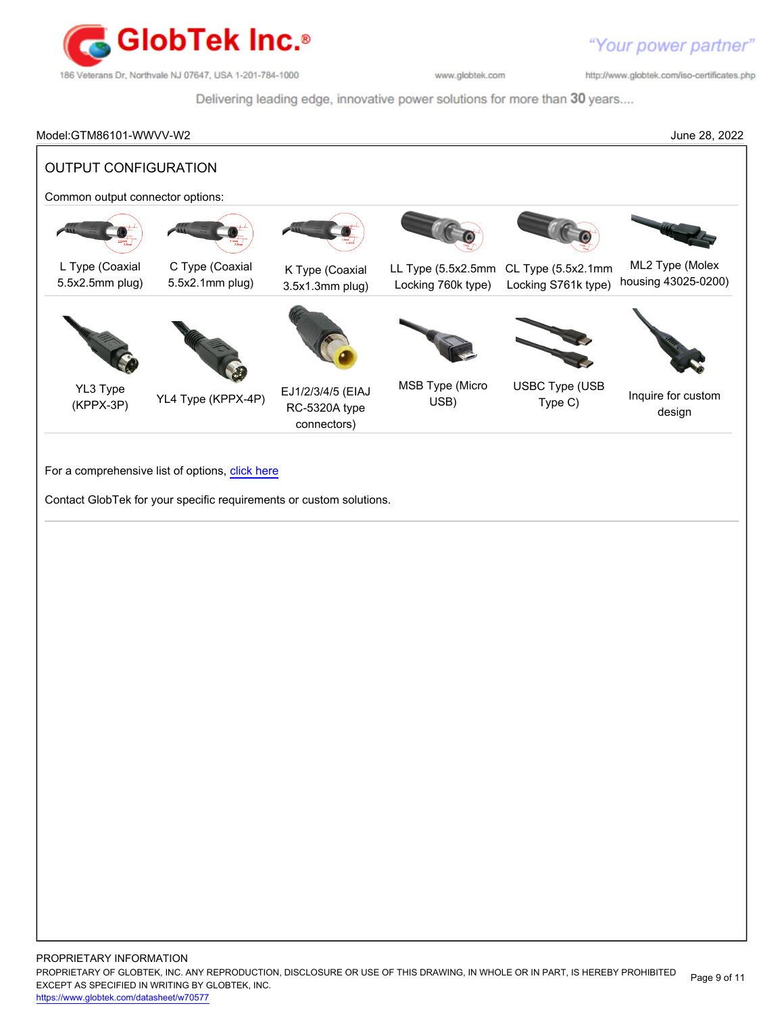

http://www.globtek.com/iso-certificates.php

Delivering leading edge, innovative power solutions for more than 30 years....

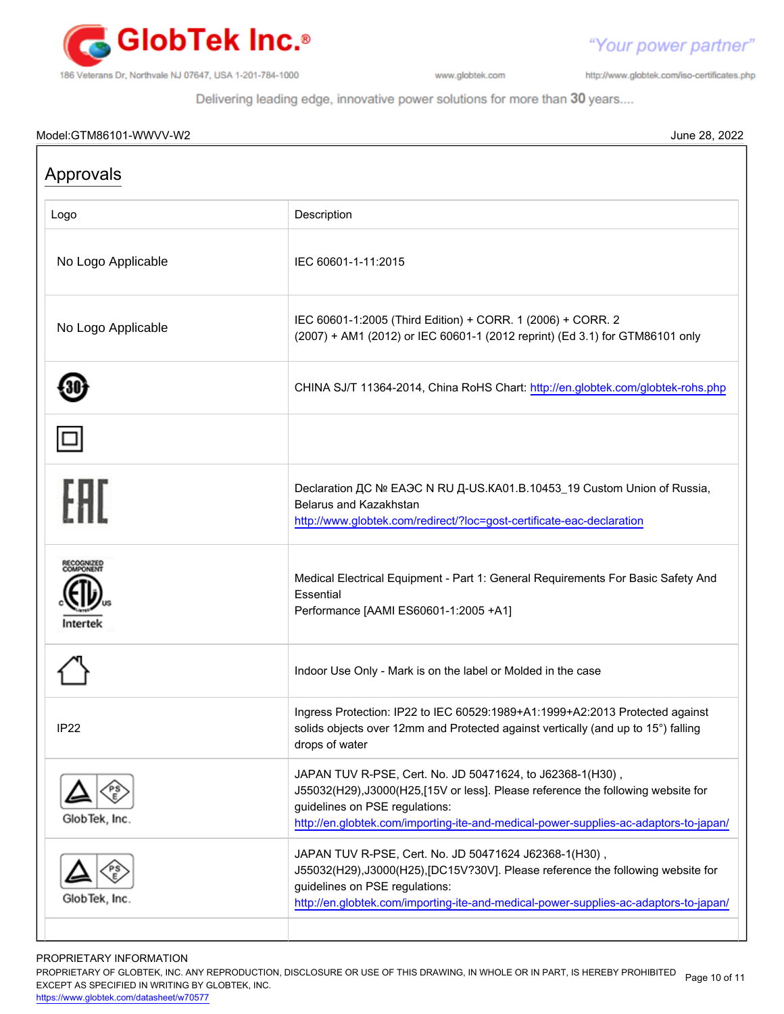

http://www.globtek.com/iso-certificates.php

"Your power partner"

Delivering leading edge, innovative power solutions for more than 30 years....

# Model:GTM86101-WWVV-W2 June 28, 2022

| Approvals                         |                                                                                                                                                                                                                                                                          |  |  |  |
|-----------------------------------|--------------------------------------------------------------------------------------------------------------------------------------------------------------------------------------------------------------------------------------------------------------------------|--|--|--|
| Logo                              | Description                                                                                                                                                                                                                                                              |  |  |  |
| No Logo Applicable                | IEC 60601-1-11:2015                                                                                                                                                                                                                                                      |  |  |  |
| No Logo Applicable                | IEC 60601-1:2005 (Third Edition) + CORR. 1 (2006) + CORR. 2<br>(2007) + AM1 (2012) or IEC 60601-1 (2012 reprint) (Ed 3.1) for GTM86101 only                                                                                                                              |  |  |  |
|                                   | CHINA SJ/T 11364-2014, China RoHS Chart: http://en.globtek.com/globtek-rohs.php                                                                                                                                                                                          |  |  |  |
|                                   |                                                                                                                                                                                                                                                                          |  |  |  |
| FHI                               | Declaration <sub>AC</sub> Nº EA <sub>3</sub> C N RU A-US.KA01.B.10453_19 Custom Union of Russia,<br><b>Belarus and Kazakhstan</b><br>http://www.globtek.com/redirect/?loc=gost-certificate-eac-declaration                                                               |  |  |  |
| ECOGNIZED<br>OMPONENT<br>Intertek | Medical Electrical Equipment - Part 1: General Requirements For Basic Safety And<br>Essential<br>Performance [AAMI ES60601-1:2005 +A1]                                                                                                                                   |  |  |  |
|                                   | Indoor Use Only - Mark is on the label or Molded in the case                                                                                                                                                                                                             |  |  |  |
| IP <sub>22</sub>                  | Ingress Protection: IP22 to IEC 60529:1989+A1:1999+A2:2013 Protected against<br>solids objects over 12mm and Protected against vertically (and up to 15°) falling<br>drops of water                                                                                      |  |  |  |
| GlobTek, Inc.                     | JAPAN TUV R-PSE, Cert. No. JD 50471624, to J62368-1(H30),<br>J55032(H29), J3000(H25, [15V or less]. Please reference the following website for<br>guidelines on PSE regulations:<br>http://en.globtek.com/importing-ite-and-medical-power-supplies-ac-adaptors-to-japan/ |  |  |  |
| GlobTek, Inc.                     | JAPAN TUV R-PSE, Cert. No. JD 50471624 J62368-1(H30),<br>J55032(H29),J3000(H25),[DC15V?30V]. Please reference the following website for<br>guidelines on PSE regulations:<br>http://en.globtek.com/importing-ite-and-medical-power-supplies-ac-adaptors-to-japan/        |  |  |  |

PROPRIETARY INFORMATION

PROPRIETARY OF GLOBTEK, INC. ANY REPRODUCTION, DISCLOSURE OR USE OF THIS DRAWING, IN WHOLE OR IN PART, IS HEREBY PROHIBITED Page 10 of 11<br>EXALER 10 OREGIEIER WILKENIG BY OLOREEK WO EXCEPT AS SPECIFIED IN WRITING BY GLOBTEK, INC.